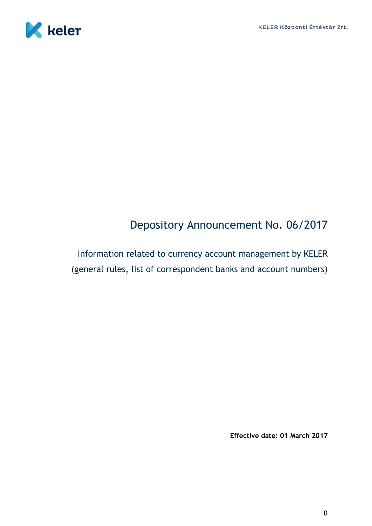

# Depository Announcement No. 06/2017

Information related to currency account management by KELER (general rules, list of correspondent banks and account numbers)

**Effective date: 01 March 2017**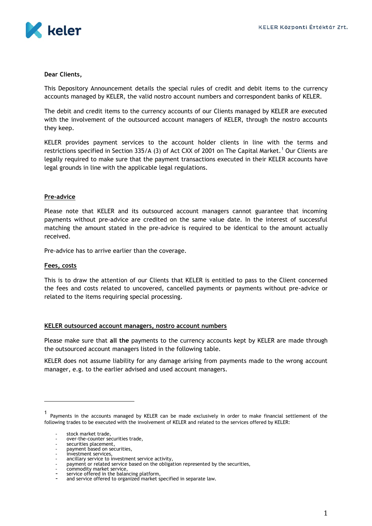

#### **Dear Clients,**

This Depository Announcement details the special rules of credit and debit items to the currency accounts managed by KELER, the valid nostro account numbers and correspondent banks of KELER.

The debit and credit items to the currency accounts of our Clients managed by KELER are executed with the involvement of the outsourced account managers of KELER, through the nostro accounts they keep.

KELER provides payment services to the account holder clients in line with the terms and restrictions specified in Section 335/A (3) of Act CXX of 2001 on The Capital Market.<sup>1</sup> Our Clients are legally required to make sure that the payment transactions executed in their KELER accounts have legal grounds in line with the applicable legal regulations.

## **Pre-advice**

Please note that KELER and its outsourced account managers cannot guarantee that incoming payments without pre-advice are credited on the same value date. In the interest of successful matching the amount stated in the pre-advice is required to be identical to the amount actually received.

Pre-advice has to arrive earlier than the coverage.

#### **Fees, costs**

This is to draw the attention of our Clients that KELER is entitled to pass to the Client concerned the fees and costs related to uncovered, cancelled payments or payments without pre-advice or related to the items requiring special processing.

#### **KELER outsourced account managers, nostro account numbers**

Please make sure that **all the** payments to the currency accounts kept by KELER are made through the outsourced account managers listed in the following table.

KELER does not assume liability for any damage arising from payments made to the wrong account manager, e.g. to the earlier advised and used account managers.

<sup>1</sup> Payments in the accounts managed by KELER can be made exclusively in order to make financial settlement of the following trades to be executed with the involvement of KELER and related to the services offered by KELER:

stock market trade.

over-the-counter securities trade,

securities placement,

securities pracement, investment services,

ancillary service to investment service activity,

payment or related service based on the obligation represented by the securities,

commodity market service,

<sup>-</sup> service offered in the balancing platform, - and service offered to organized market specified in separate law.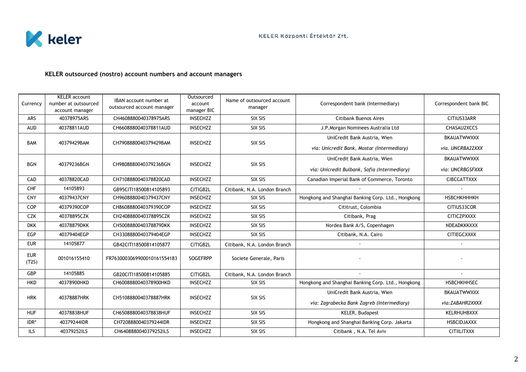

# **KELER outsourced (nostro) account numbers and account managers**

| Currency            | <b>KELER</b> account<br>number at outsourced<br>account manager | IBAN account number at<br>outsourced account manager | Outsourced<br>account<br>manager BIC | Name of outsourced account<br>manager | Correspondent bank (Intermediary)                  | Correspondent bank BIC |
|---------------------|-----------------------------------------------------------------|------------------------------------------------------|--------------------------------------|---------------------------------------|----------------------------------------------------|------------------------|
| <b>ARS</b>          | 40378975ARS                                                     | CH4608880040378975ARS                                | <b>INSECHZZ</b>                      | SIX SIS                               | <b>Citibank Buenos Aires</b>                       | CITIUS33ARR            |
| <b>AUD</b>          | 40378811AUD                                                     | CH6608880040378811AUD                                | <b>INSECHZZ</b>                      | SIX SIS                               | J.P.Morgan Nominees Australia Ltd                  | CHASAU2XCCS            |
| <b>BAM</b>          | 40379429BAM                                                     | CH7908880040379429BAM                                | <b>INSECHZZ</b>                      | SIX SIS                               | UniCredit Bank Austria, Wien                       | BKAUATWWXXX            |
|                     |                                                                 |                                                      |                                      |                                       | via: Unicredit Bank, Mostar (Intermediary)         | via. UNCRBA22XXX       |
| <b>BGN</b>          | 40379236BGN                                                     | CH9808880040379236BGN                                | <b>INSECHZZ</b>                      | SIX SIS                               | UniCredit Bank Austria, Wien                       | <b>BKAUATWWXXX</b>     |
|                     |                                                                 |                                                      |                                      |                                       | via: Unicredit Bulbank, Sofia (Intermediary)       | via: UNCRBGSFXXX       |
| CAD                 | 40378820CAD                                                     | CH7108880040378820CAD                                | <b>INSECHZZ</b>                      | SIX SIS                               | Canadian Imperial Bank of Commerce, Toronto        | <b>CIBCCATTXXX</b>     |
| <b>CHF</b>          | 14105893                                                        | GB95CITI18500814105893                               | CITIGB2L                             | Citibank, N.A. London Branch          |                                                    |                        |
| <b>CNY</b>          | 40379437CNY                                                     | CH9608880040379437CNY                                | <b>INSECHZZ</b>                      | SIX SIS                               | Hongkong and Shanghai Banking Corp. Ltd., Hongkong | <b>НЅВСНКНННКН</b>     |
| COP                 | 40379390COP                                                     | CH8608880040379390COP                                | <b>INSECHZZ</b>                      | SIX SIS                               | Cititrust, Colombia                                | CITIUS33COR            |
| <b>CZK</b>          | 40378895CZK                                                     | CH2408880040378895CZK                                | <b>INSECHZZ</b>                      | SIX SIS                               | Citibank, Prag                                     | <b>CITICZPXXXX</b>     |
| <b>DKK</b>          | 40378879DKK                                                     | CH5008880040378879DKK                                | <b>INSECHZZ</b>                      | SIX SIS                               | Nordea Bank A/S, Copenhagen                        | NDEADKKKXXX            |
| <b>EGP</b>          | 40379404EGP                                                     | CH3308880040379404EGP                                | <b>INSECHZZ</b>                      | SIX SIS                               | Citibank, N.A. Cairo                               | CITIEGCXXXX            |
| <b>EUR</b>          | 14105877                                                        | GB42CITI18500814105877                               | CITIGB2L                             | Citibank, N.A. London Branch          |                                                    |                        |
| <b>EUR</b><br>(T2S) | 001016155410                                                    | FR7630003069900010161554183                          | <b>SOGEFRPP</b>                      | Societe Generale, Paris               |                                                    |                        |
| GBP                 | 14105885                                                        | GB20CITI18500814105885                               | CITIGB2L                             | Citibank, N.A. London Branch          |                                                    |                        |
| <b>HKD</b>          | 40378900HKD                                                     | CH6008880040378900HKD                                | <b>INSECHZZ</b>                      | SIX SIS                               | Hongkong and Shanghai Banking Corp. Ltd., Hongkong | <b>HSBCHKHHSEC</b>     |
| <b>HRK</b>          | 40378887HRK                                                     | CH5108880040378887HRK                                | <b>INSECHZZ</b>                      | SIX SIS                               | UniCredit Bank Austria, Wien                       | <b>BKAUATWWXXX</b>     |
|                     |                                                                 |                                                      |                                      |                                       | via: Zagrabecka Bank Zagreb (Intermediary)         | via:ZABAHR2XXXX        |
| <b>HUF</b>          | 40378838HUF                                                     | CH6508880040378838HUF                                | <b>INSECHZZ</b>                      | SIX SIS                               | KELER, Budapest                                    | KELRHUHBXXX            |
| IDR*                | 40379244IDR                                                     | CH7208880040379244IDR                                | <b>INSECHZZ</b>                      | SIX SIS                               | Hongkong and Shanghai Banking Corp. Jakarta        | <b>HSBCIDJAXXX</b>     |
| <b>ILS</b>          | 40379252ILS                                                     | CH6408880040379252ILS                                | <b>INSECHZZ</b>                      | SIX SIS                               | Citibank, N.A. Tel Aviv                            | <b>CITIILITXXX</b>     |